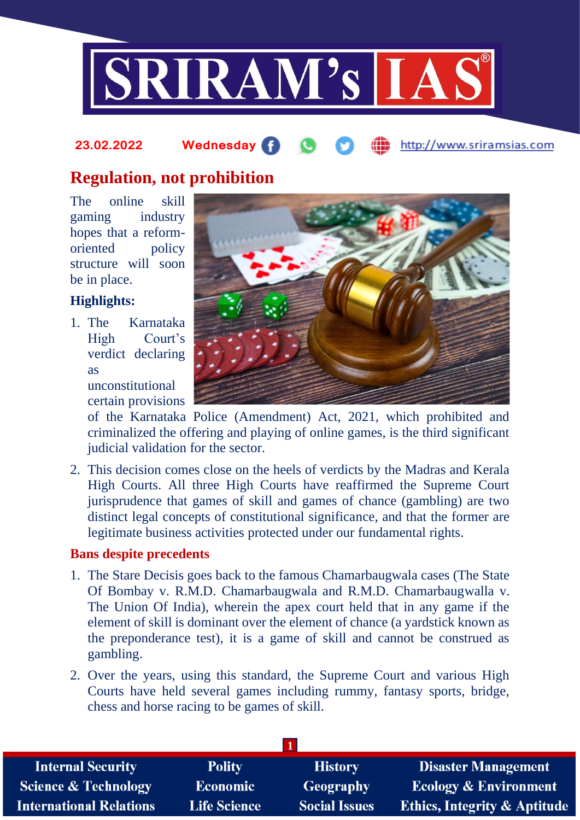

# **Regulation, not prohibition**

The online skill gaming industry hopes that a reformoriented policy structure will soon be in place.

# **Highlights:**

1. The Karnataka High Court's verdict declaring as

unconstitutional certain provisions

of the Karnataka Police (Amendment) Act, 2021, which prohibited and criminalized the offering and playing of online games, is the third significant judicial validation for the sector.

2. This decision comes close on the heels of verdicts by the Madras and Kerala High Courts. All three High Courts have reaffirmed the Supreme Court jurisprudence that games of skill and games of chance (gambling) are two distinct legal concepts of constitutional significance, and that the former are legitimate business activities protected under our fundamental rights.

### **Bans despite precedents**

- 1. The Stare Decisis goes back to the famous Chamarbaugwala cases (The State Of Bombay v. R.M.D. Chamarbaugwala and R.M.D. Chamarbaugwalla v. The Union Of India), wherein the apex court held that in any game if the element of skill is dominant over the element of chance (a yardstick known as the preponderance test), it is a game of skill and cannot be construed as gambling.
- 2. Over the years, using this standard, the Supreme Court and various High Courts have held several games including rummy, fantasy sports, bridge, chess and horse racing to be games of skill.

| <b>Internal Security</b>        | <b>Polity</b>       | <b>History</b>       | <b>Disaster Management</b>              |
|---------------------------------|---------------------|----------------------|-----------------------------------------|
| <b>Science &amp; Technology</b> | <b>Economic</b>     | Geography            | <b>Ecology &amp; Environment</b>        |
| <b>International Relations</b>  | <b>Life Science</b> | <b>Social Issues</b> | <b>Ethics, Integrity &amp; Aptitude</b> |

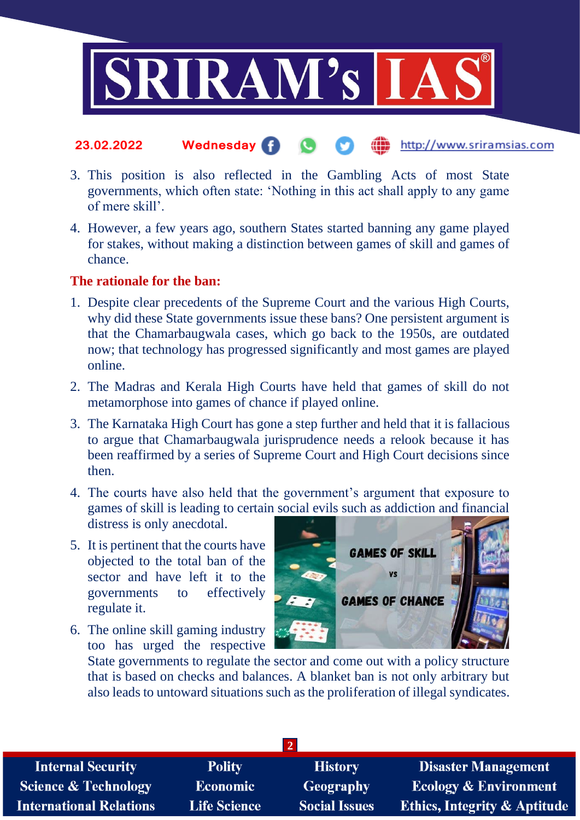

- 3. This position is also reflected in the Gambling Acts of most State governments, which often state: 'Nothing in this act shall apply to any game of mere skill'.
- 4. However, a few years ago, southern States started banning any game played for stakes, without making a distinction between games of skill and games of chance.

### **The rationale for the ban:**

- 1. Despite clear precedents of the Supreme Court and the various High Courts, why did these State governments issue these bans? One persistent argument is that the Chamarbaugwala cases, which go back to the 1950s, are outdated now; that technology has progressed significantly and most games are played online.
- 2. The Madras and Kerala High Courts have held that games of skill do not metamorphose into games of chance if played online.
- 3. The Karnataka High Court has gone a step further and held that it is fallacious to argue that Chamarbaugwala jurisprudence needs a relook because it has been reaffirmed by a series of Supreme Court and High Court decisions since then.
- 4. The courts have also held that the government's argument that exposure to games of skill is leading to certain social evils such as addiction and financial distress is only anecdotal.
- 5. It is pertinent that the courts have objected to the total ban of the sector and have left it to the governments to effectively regulate it.
- 6. The online skill gaming industry too has urged the respective



State governments to regulate the sector and come out with a policy structure that is based on checks and balances. A blanket ban is not only arbitrary but also leads to untoward situations such as the proliferation of illegal syndicates.

| <b>Internal Security</b>        | <b>Polity</b>       | <b>History</b>       | <b>Disaster Management</b>              |
|---------------------------------|---------------------|----------------------|-----------------------------------------|
| <b>Science &amp; Technology</b> | <b>Economic</b>     | <b>Geography</b>     | <b>Ecology &amp; Environment</b>        |
| <b>International Relations</b>  | <b>Life Science</b> | <b>Social Issues</b> | <b>Ethics, Integrity &amp; Aptitude</b> |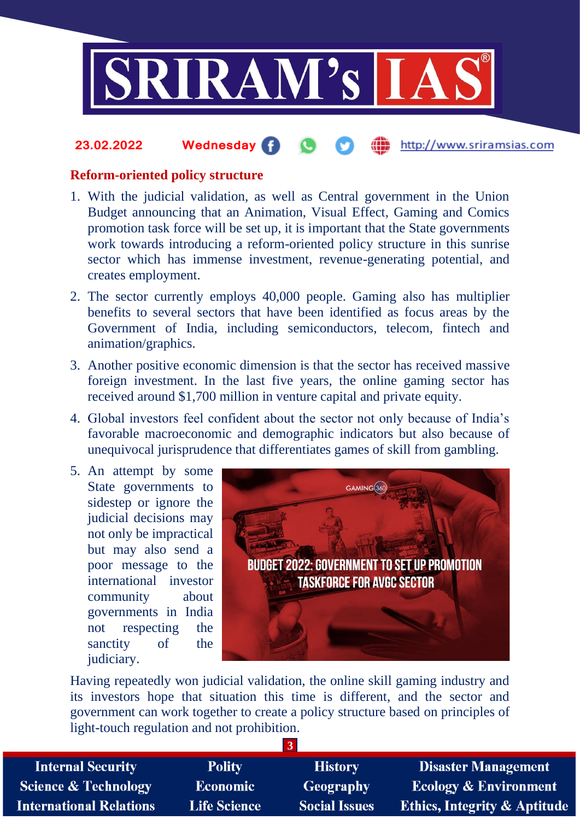

### **Reform-oriented policy structure**

- 1. With the judicial validation, as well as Central government in the Union Budget announcing that an Animation, Visual Effect, Gaming and Comics promotion task force will be set up, it is important that the State governments work towards introducing a reform-oriented policy structure in this sunrise sector which has immense investment, revenue-generating potential, and creates employment.
- 2. The sector currently employs 40,000 people. Gaming also has multiplier benefits to several sectors that have been identified as focus areas by the Government of India, including semiconductors, telecom, fintech and animation/graphics.
- 3. Another positive economic dimension is that the sector has received massive foreign investment. In the last five years, the online gaming sector has received around \$1,700 million in venture capital and private equity.
- 4. Global investors feel confident about the sector not only because of India's favorable macroeconomic and demographic indicators but also because of unequivocal jurisprudence that differentiates games of skill from gambling.
- 5. An attempt by some State governments to sidestep or ignore the judicial decisions may not only be impractical but may also send a poor message to the international investor community about governments in India not respecting the sanctity of the judiciary.



Having repeatedly won judicial validation, the online skill gaming industry and its investors hope that situation this time is different, and the sector and government can work together to create a policy structure based on principles of light-touch regulation and not prohibition.

| <b>Internal Security</b>       | <b>Polity</b>       | <b>History</b>       | <b>Disaster Management</b>              |
|--------------------------------|---------------------|----------------------|-----------------------------------------|
| Science & Technology           | <b>Economic</b>     | <b>Geography</b>     | <b>Ecology &amp; Environment</b>        |
| <b>International Relations</b> | <b>Life Science</b> | <b>Social Issues</b> | <b>Ethics, Integrity &amp; Aptitude</b> |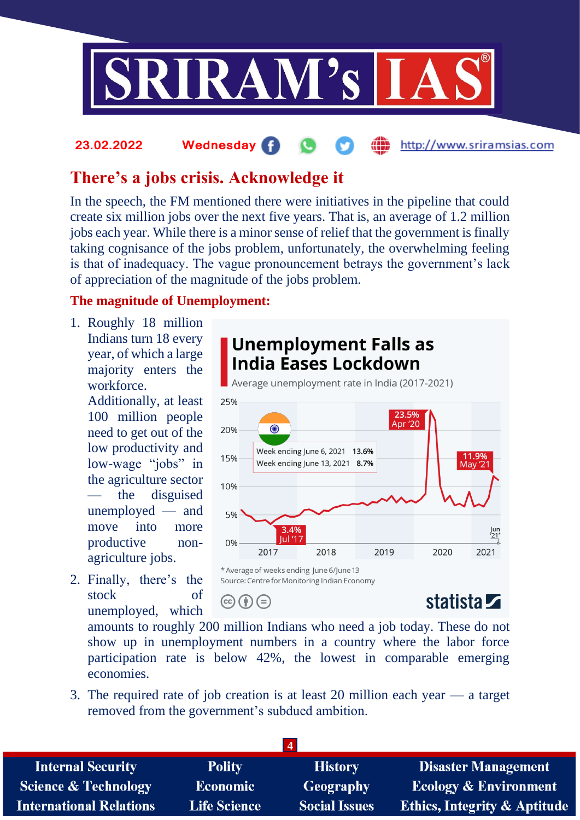

#### http://www.sriramsias.com **23.02.2022 Wednesday**

# **There's a jobs crisis. Acknowledge it**

In the speech, the FM mentioned there were initiatives in the pipeline that could create six million jobs over the next five years. That is, an average of 1.2 million jobs each year. While there is a minor sense of relief that the government is finally taking cognisance of the jobs problem, unfortunately, the overwhelming feeling is that of inadequacy. The vague pronouncement betrays the government's lack of appreciation of the magnitude of the jobs problem.

# **The magnitude of Unemployment:**

1. Roughly 18 million Indians turn 18 every year, of which a large majority enters the workforce.

> Additionally, at least 100 million people need to get out of the low productivity and low-wage "jobs" in the agriculture sector the disguised unemployed — and move into more productive nonagriculture jobs.

2. Finally, there's the stock of unemployed, which



amounts to roughly 200 million Indians who need a job today. These do not show up in unemployment numbers in a country where the labor force participation rate is below 42%, the lowest in comparable emerging economies.

3. The required rate of job creation is at least 20 million each year — a target removed from the government's subdued ambition.

| <b>Internal Security</b>        | <b>Polity</b>       | <b>History</b>       | <b>Disaster Management</b>              |
|---------------------------------|---------------------|----------------------|-----------------------------------------|
| <b>Science &amp; Technology</b> | <b>Economic</b>     | Geography            | <b>Ecology &amp; Environment</b>        |
| <b>International Relations</b>  | <b>Life Science</b> | <b>Social Issues</b> | <b>Ethics, Integrity &amp; Aptitude</b> |
|                                 |                     |                      |                                         |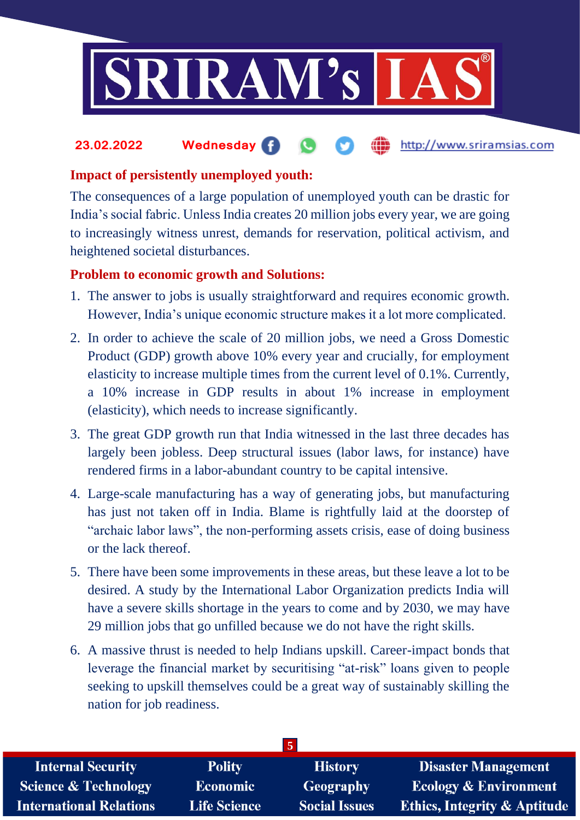

# **Impact of persistently unemployed youth:**

The consequences of a large population of unemployed youth can be drastic for India's social fabric. Unless India creates 20 million jobs every year, we are going to increasingly witness unrest, demands for reservation, political activism, and heightened societal disturbances.

# **Problem to economic growth and Solutions:**

- 1. The answer to jobs is usually straightforward and requires economic growth. However, India's unique economic structure makes it a lot more complicated.
- 2. In order to achieve the scale of 20 million jobs, we need a Gross Domestic Product (GDP) growth above 10% every year and crucially, for employment elasticity to increase multiple times from the current level of 0.1%. Currently, a 10% increase in GDP results in about 1% increase in employment (elasticity), which needs to increase significantly.
- 3. The great GDP growth run that India witnessed in the last three decades has largely been jobless. Deep structural issues (labor laws, for instance) have rendered firms in a labor-abundant country to be capital intensive.
- 4. Large-scale manufacturing has a way of generating jobs, but manufacturing has just not taken off in India. Blame is rightfully laid at the doorstep of "archaic labor laws", the non-performing assets crisis, ease of doing business or the lack thereof.
- 5. There have been some improvements in these areas, but these leave a lot to be desired. A study by the International Labor Organization predicts India will have a severe skills shortage in the years to come and by 2030, we may have 29 million jobs that go unfilled because we do not have the right skills.
- 6. A massive thrust is needed to help Indians upskill. Career-impact bonds that leverage the financial market by securitising "at-risk" loans given to people seeking to upskill themselves could be a great way of sustainably skilling the nation for job readiness.

| $\overline{5}$                  |                     |                      |                                         |  |
|---------------------------------|---------------------|----------------------|-----------------------------------------|--|
| <b>Internal Security</b>        | <b>Polity</b>       | <b>History</b>       | <b>Disaster Management</b>              |  |
| <b>Science &amp; Technology</b> | <b>Economic</b>     | Geography            | <b>Ecology &amp; Environment</b>        |  |
| <b>International Relations</b>  | <b>Life Science</b> | <b>Social Issues</b> | <b>Ethics, Integrity &amp; Aptitude</b> |  |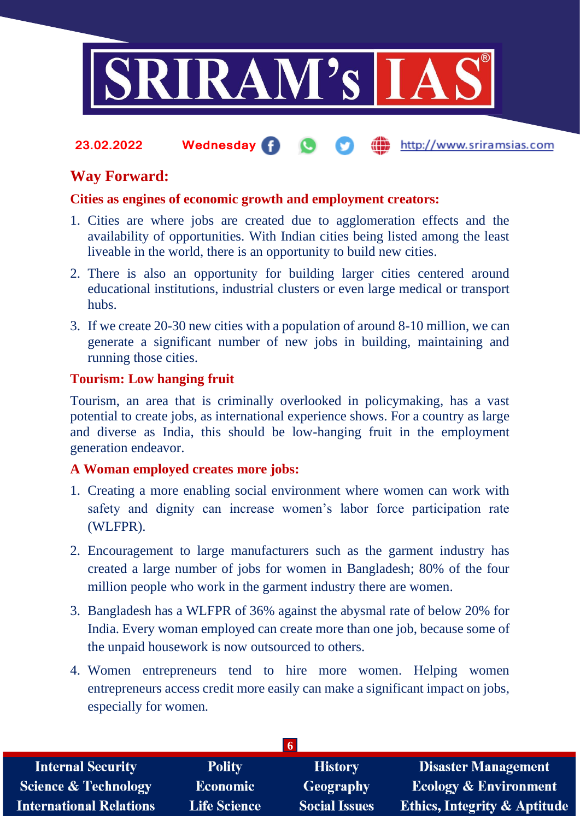

# **Way Forward:**

### **Cities as engines of economic growth and employment creators:**

- 1. Cities are where jobs are created due to agglomeration effects and the availability of opportunities. With Indian cities being listed among the least liveable in the world, there is an opportunity to build new cities.
- 2. There is also an opportunity for building larger cities centered around educational institutions, industrial clusters or even large medical or transport hubs.
- 3. If we create 20-30 new cities with a population of around 8-10 million, we can generate a significant number of new jobs in building, maintaining and running those cities.

### **Tourism: Low hanging fruit**

Tourism, an area that is criminally overlooked in policymaking, has a vast potential to create jobs, as international experience shows. For a country as large and diverse as India, this should be low-hanging fruit in the employment generation endeavor.

### **A Woman employed creates more jobs:**

- 1. Creating a more enabling social environment where women can work with safety and dignity can increase women's labor force participation rate (WLFPR).
- 2. Encouragement to large manufacturers such as the garment industry has created a large number of jobs for women in Bangladesh; 80% of the four million people who work in the garment industry there are women.
- 3. Bangladesh has a WLFPR of 36% against the abysmal rate of below 20% for India. Every woman employed can create more than one job, because some of the unpaid housework is now outsourced to others.
- 4. Women entrepreneurs tend to hire more women. Helping women entrepreneurs access credit more easily can make a significant impact on jobs, especially for women.

| <b>Internal Security</b>        | <b>Polity</b>       | <b>History</b>       | <b>Disaster Management</b>              |
|---------------------------------|---------------------|----------------------|-----------------------------------------|
| <b>Science &amp; Technology</b> | <b>Economic</b>     | <b>Geography</b>     | <b>Ecology &amp; Environment</b>        |
| <b>International Relations</b>  | <b>Life Science</b> | <b>Social Issues</b> | <b>Ethics, Integrity &amp; Aptitude</b> |